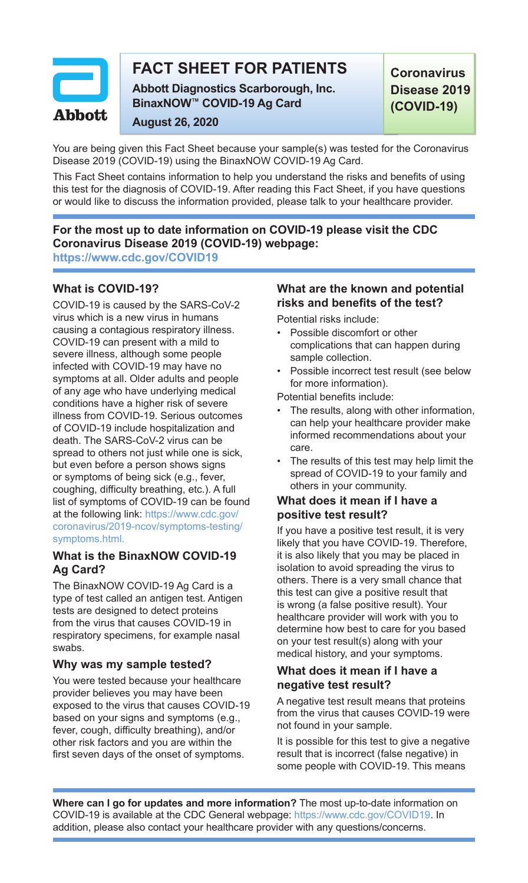

# **FACT SHEET FOR PATIENTS**

**Abbott Diagnostics Scarborough, Inc. BinaxNOW™ COVID-19 Ag Card**

**Coronavirus Disease 2019 (COVID-19)**

**August 26, 2020**

You are being given this Fact Sheet because your sample(s) was tested for the Coronavirus Disease 2019 (COVID-19) using the BinaxNOW COVID-19 Ag Card.

This Fact Sheet contains information to help you understand the risks and benefits of using this test for the diagnosis of COVID-19. After reading this Fact Sheet, if you have questions or would like to discuss the information provided, please talk to your healthcare provider.

**For the most up to date information on COVID-19 please visit the CDC Coronavirus Disease 2019 (COVID-19) webpage: https://www.cdc.gov/COVID19**

# **What is COVID-19?**

COVID-19 is caused by the SARS-CoV-2 virus which is a new virus in humans causing a contagious respiratory illness. COVID-19 can present with a mild to severe illness, although some people infected with COVID-19 may have no symptoms at all. Older adults and people of any age who have underlying medical conditions have a higher risk of severe illness from COVID-19. Serious outcomes of COVID-19 include hospitalization and death. The SARS-CoV-2 virus can be spread to others not just while one is sick, but even before a person shows signs or symptoms of being sick (e.g., fever, coughing, difficulty breathing, etc.). A full list of symptoms of COVID-19 can be found at the following link: https://www.cdc.gov/ coronavirus/2019-ncov/symptoms-testing/ symptoms.html.

## **What is the BinaxNOW COVID-19 Ag Card?**

The BinaxNOW COVID-19 Ag Card is a type of test called an antigen test. Antigen tests are designed to detect proteins from the virus that causes COVID-19 in respiratory specimens, for example nasal swabs.

### **Why was my sample tested?**

You were tested because your healthcare provider believes you may have been exposed to the virus that causes COVID-19 based on your signs and symptoms (e.g., fever, cough, difficulty breathing), and/or other risk factors and you are within the first seven days of the onset of symptoms.

# **What are the known and potential risks and benefits of the test?**

Potential risks include:

- Possible discomfort or other complications that can happen during sample collection.
- Possible incorrect test result (see below for more information).

Potential benefits include:

- The results, along with other information. can help your healthcare provider make informed recommendations about your care.
- The results of this test may help limit the spread of COVID-19 to your family and others in your community.

# **What does it mean if I have a positive test result?**

If you have a positive test result, it is very likely that you have COVID-19. Therefore, it is also likely that you may be placed in isolation to avoid spreading the virus to others. There is a very small chance that this test can give a positive result that is wrong (a false positive result). Your healthcare provider will work with you to determine how best to care for you based on your test result(s) along with your medical history, and your symptoms.

## **What does it mean if I have a negative test result?**

A negative test result means that proteins from the virus that causes COVID-19 were not found in your sample.

It is possible for this test to give a negative result that is incorrect (false negative) in some people with COVID-19. This means

**Where can I go for updates and more information?** The most up-to-date information on COVID-19 is available at the CDC General webpage: https://www.cdc.gov/COVID19. In addition, please also contact your healthcare provider with any questions/concerns.